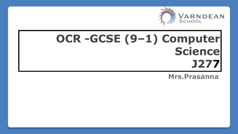

# **OCR -GCSE (9–1) Computer Science J277**

**Mrs.Prasanna**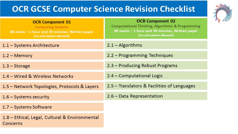## **OCR GCSE Computer Science Revision Checklist**



| <b>OCR Component 01</b><br><b>Computing Systems</b><br>80 marks - 1 hour and 30 minutes, Written paper<br>(no calculators allowed) | <b>OCR Component 02</b><br><b>Computational Thinking, Algorithms &amp; Programming</b><br>80 marks - 1 hour and 30 minutes, Written paper<br>(no calculators allowed) |
|------------------------------------------------------------------------------------------------------------------------------------|-----------------------------------------------------------------------------------------------------------------------------------------------------------------------|
| $1.1 - Systems Architecture$                                                                                                       | $2.1 -$ Algorithms                                                                                                                                                    |
| $1.2 - Memory$                                                                                                                     | 2.2 - Programming Techniques                                                                                                                                          |
| $1.3 - Storage$                                                                                                                    | 2.3 – Producing Robust Programs                                                                                                                                       |
| 1.4 - Wired & Wireless Networks                                                                                                    | 2.4 - Computational Logic                                                                                                                                             |
| 1.5 – Network Topologies, Protocols & Layers                                                                                       | 2.5 – Translators & Facilities of Languages                                                                                                                           |
| $1.6 - Systems security$                                                                                                           | 2.6 - Data Representation                                                                                                                                             |
| 1.7 - Systems Software                                                                                                             |                                                                                                                                                                       |
| 1.8 - Ethical, Legal, Cultural & Environmental<br>Concerns                                                                         |                                                                                                                                                                       |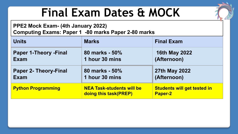# **Final Exam Dates & MOCK**

#### **PPE2 Mock Exam- (4th January 2022) Computing Exams: Paper 1 -80 marks Paper 2-80 marks**

| <b>Units</b>                 | <b>Marks</b>                                              | <b>Final Exam</b>                                    |
|------------------------------|-----------------------------------------------------------|------------------------------------------------------|
| <b>Paper 1-Theory -Final</b> | 80 marks - 50%                                            | <b>16th May 2022</b>                                 |
| Exam                         | 1 hour 30 mins                                            | (Afternoon)                                          |
| <b>Paper 2- Theory-Final</b> | 80 marks - 50%                                            | 27th May 2022                                        |
| <b>Exam</b>                  | 1 hour 30 mins                                            | (Afternoon)                                          |
| <b>Python Programming</b>    | <b>NEA Task-students will be</b><br>doing this task(PREP) | <b>Students will get tested in</b><br><b>Paper-2</b> |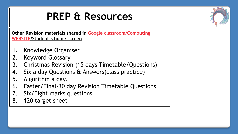## **PREP & Resources**

**Other Revision materials shared in Google classroom/Computing WEBSITE/Student's home screen**

- 1. Knowledge Organiser
- 2. Keyword Glossary
- 3. Christmas Revision (15 days Timetable/Questions)
- 4. Six a day Questions & Answers(class practice)
- 5. Algorithm a day.
- 6. Easter/Final-30 day Revision Timetable Questions.
- 7. Six/Eight marks questions
- 8. 120 target sheet

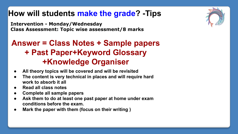## **How will students make the grade? -Tips**

**Intervention - Monday/Wednesday Class Assessment: Topic wise assessment/8 marks**

## **Answer = Class Notes + Sample papers + Past Paper+Keyword Glossary +Knowledge Organiser**

- **● All theory topics will be covered and will be revisited**
- **● The content is very technical in places and will require hard work to absorb it all**
- **● Read all class notes**
- **● Complete all sample papers**
- Ask them to do at least one past paper at home under exam **conditions before the exam.**
- **● Mark the paper with them (focus on their writing )**